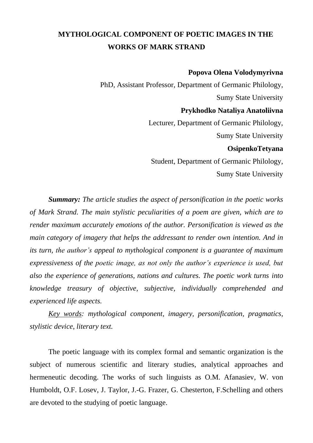# **MYTHOLOGICAL COMPONENT OF POETIC IMAGES IN THE WORKS OF MARK STRAND**

#### **Popova Olena Volodymyrivna**

PhD, Assistant Professor, Department of Germanic Philology, Sumy State University **Prykhodko Nataliya Anatoliivna** Lecturer, Department of Germanic Philology, Sumy State University **OsipenkoTetyana** Student, Department of Germanic Philology, Sumy State University

*Summary: The article studies the aspect of personification in the poetic works of Mark Strand. The main stylistic peculiarities of a poem are given, which are to render maximum accurately emotions of the author. Personification is viewed as the main category of imagery that helps the addressant to render own intention. And in its turn, the author's appeal to mythological component is a guarantee of maximum expressiveness of the poetic image, as not only the author's experience is used, but also the experience of generations, nations and cultures. The poetic work turns into knowledge treasury of objective, subjective, individually comprehended and experienced life aspects.*

*Key words: mythological component, imagery, personification, pragmatics, stylistic device, literary text.*

The poetic language with its complex formal and semantic organization is the subject of numerous scientific and literary studies, analytical approaches and hermeneutic decoding. The works of such linguists as O.M. Afanasiev, W. von Humboldt, O.F. Losev, J. Taylor, J.-G. Frazer, G. Chesterton, F.Schelling and others are devoted to the studying of poetic language.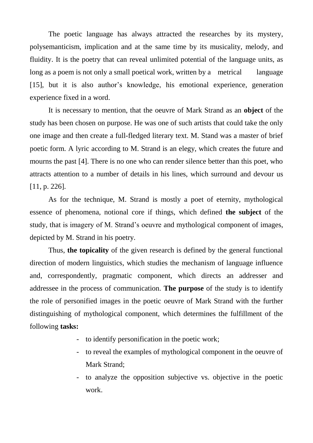The poetic language has always attracted the researches by its mystery, polysemanticism, implication and at the same time by its musicality, melody, and fluidity. It is the poetry that can reveal unlimited potential of the language units, as long as a poem is not only a small poetical work, written by a metrical language [15], but it is also author's knowledge, his emotional experience, generation experience fixed in a word.

It is necessary to mention, that the oeuvre of Mark Strand as an **object** of the study has been chosen on purpose. He was one of such artists that could take the only one image and then create a full-fledged literary text. M. Stand was a master of brief poetic form. A lyric according to M. Strand is an elegy, which creates the future and mourns the past [4]. There is no one who can render silence better than this poet, who attracts attention to a number of details in his lines, which surround and devour us [11, p. 226].

As for the technique, M. Strand is mostly a poet of eternity, mythological essence of phenomena, notional core if things, which defined **the subject** of the study, that is imagery of M. Strand's oeuvre and mythological component of images, depicted by M. Strand in his poetry.

Thus, **the topicality** of the given research is defined by the general functional direction of modern linguistics, which studies the mechanism of language influence and, correspondently, pragmatic component, which directs an addresser and addressee in the process of communication. **The purpose** of the study is to identify the role of personified images in the poetic oeuvre of Mark Strand with the further distinguishing of mythological component, which determines the fulfillment of the following **tasks:**

- to identify personification in the poetic work;
- to reveal the examples of mythological component in the oeuvre of Mark Strand;
- to analyze the opposition subjective vs. objective in the poetic work.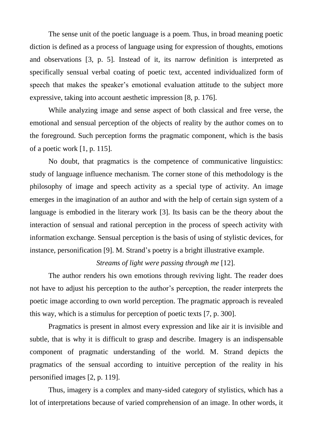The sense unit of the poetic language is a poem. Thus, in broad meaning poetic diction is defined as a process of language using for expression of thoughts, emotions and observations [3, p. 5]. Instead of it, its narrow definition is interpreted as specifically sensual verbal coating of poetic text, accented individualized form of speech that makes the speaker's emotional evaluation attitude to the subject more expressive, taking into account aesthetic impression [8, p. 176].

While analyzing image and sense aspect of both classical and free verse, the emotional and sensual perception of the objects of reality by the author comes on to the foreground. Such perception forms the pragmatic component, which is the basis of a poetic work [1, p. 115].

No doubt, that pragmatics is the competence of communicative linguistics: study of language influence mechanism. The corner stone of this methodology is the philosophy of image and speech activity as a special type of activity. An image emerges in the imagination of an author and with the help of certain sign system of a language is embodied in the literary work [3]. Its basis can be the theory about the interaction of sensual and rational perception in the process of speech activity with information exchange. Sensual perception is the basis of using of stylistic devices, for instance, personification [9]. M. Strand's poetry is a bright illustrative example.

## *Streams of light were passing through me* [12].

The author renders his own emotions through reviving light. The reader does not have to adjust his perception to the author's perception, the reader interprets the poetic image according to own world perception. The pragmatic approach is revealed this way, which is a stimulus for perception of poetic texts [7, p. 300].

Pragmatics is present in almost every expression and like air it is invisible and subtle, that is why it is difficult to grasp and describe. Imagery is an indispensable component of pragmatic understanding of the world. M. Strand depicts the pragmatics of the sensual according to intuitive perception of the reality in his personified images [2, p. 119].

Thus, imagery is a complex and many-sided category of stylistics, which has a lot of interpretations because of varied comprehension of an image. In other words, it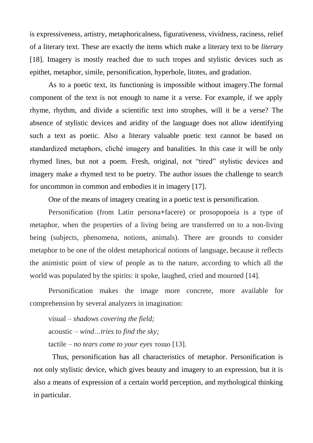is expressiveness, artistry, metaphoricalness, figurativeness, vividness, raciness, relief of a literary text. These are exactly the items which make a literary text to be *literary* [18]. Imagery is mostly reached due to such tropes and stylistic devices such as epithet, metaphor, simile, personification, hyperbole, litotes, and gradation.

As to a poetic text, its functioning is impossible without imagery.The formal component of the text is not enough to name it a verse. For example, if we apply rhyme, rhythm, and divide a scientific text into strophes, will it be a verse? The absence of stylistic devices and aridity of the language does not allow identifying such a text as poetic. Also a literary valuable poetic text cannot be based on standardized metaphors, cliché imagery and banalities. In this case it will be only rhymed lines, but not a poem. Fresh, original, not "tired" stylistic devices and imagery make a rhymed text to be poetry. The author issues the challenge to search for uncommon in common and embodies it in imagery [17].

One of the means of imagery creating in a poetic text is personification.

Personification (from Latin persona**+**facere) or prosopopoeia is a type of metaphor, when the properties of a living being are transferred on to a non-living being (subjects, phenomena, notions, animals). There are grounds to consider metaphor to be one of the oldest metaphorical notions of language, because it reflects the animistic point of view of people as to the nature, according to which all the world was populated by the spirits: it spoke, laughed, cried and mourned [14].

Personification makes the image more concrete, more available for comprehension by several analyzers in imagination:

visual – *shadows covering the field;* acoustic – *wind…tries to find the sky;* tactile – *no tears come to your eyes* тощо [13].

Thus, personification has all characteristics of metaphor. Personification is not only stylistic device, which gives beauty and imagery to an expression, but it is also a means of expression of a certain world perception, and mythological thinking in particular.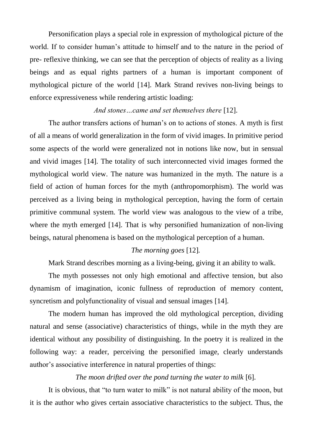Personification plays a special role in expression of mythological picture of the world. If to consider human's attitude to himself and to the nature in the period of pre- reflexive thinking, we can see that the perception of objects of reality as a living beings and as equal rights partners of a human is important component of mythological picture of the world [14]. Mark Strand revives non-living beings to enforce expressiveness while rendering artistic loading:

# *And stones…came and set themselves there* [12].

The author transfers actions of human's on to actions of stones. A myth is first of all a means of world generalization in the form of vivid images. In primitive period some aspects of the world were generalized not in notions like now, but in sensual and vivid images [14]. The totality of such interconnected vivid images formed the mythological world view. The nature was humanized in the myth. The nature is a field of action of human forces for the myth (anthropomorphism). The world was perceived as a living being in mythological perception, having the form of certain primitive communal system. The world view was analogous to the view of a tribe, where the myth emerged [14]. That is why personified humanization of non-living beings, natural phenomena is based on the mythological perception of a human.

## *The morning goes* [12]*.*

Mark Strand describes morning as a living-being, giving it an ability to walk.

The myth possesses not only high emotional and affective tension, but also dynamism of imagination, iconic fullness of reproduction of memory content, syncretism and polyfunctionality of visual and sensual images [14].

The modern human has improved the old mythological perception, dividing natural and sense (associative) characteristics of things, while in the myth they are identical without any possibility of distinguishing. In the poetry it is realized in the following way: a reader, perceiving the personified image, clearly understands author's associative interference in natural properties of things:

## *The moon drifted over the pond turning the water to milk* [6].

It is obvious, that "to turn water to milk" is not natural ability of the moon, but it is the author who gives certain associative characteristics to the subject. Thus, the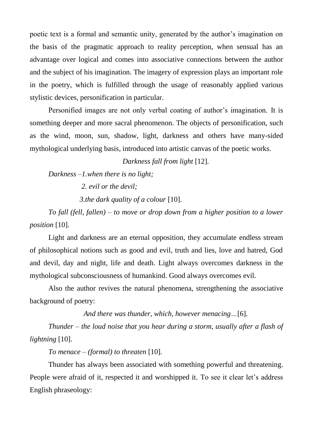poetic text is a formal and semantic unity, generated by the author's imagination on the basis of the pragmatic approach to reality perception, when sensual has an advantage over logical and comes into associative connections between the author and the subject of his imagination. The imagery of expression plays an important role in the poetry, which is fulfilled through the usage of reasonably applied various stylistic devices, personification in particular.

Personified images are not only verbal coating of author's imagination. It is something deeper and more sacral phenomenon. The objects of personification, such as the wind, moon, sun, shadow, light, darkness and others have many-sided mythological underlying basis, introduced into artistic canvas of the poetic works.

*Darkness fall from light* [12].

*Darkness –1.when there is no light;*

 *2. evil or the devil;*

 *3.the dark quality of a colour* [10].

*To fall (fell, fallen) – to move or drop down from a higher position to a lower position* [10].

Light and darkness are an eternal opposition, they accumulate endless stream of philosophical notions such as good and evil, truth and lies, love and hatred, God and devil, day and night, life and death. Light always overcomes darkness in the mythological subconsciousness of humankind. Good always overcomes evil.

Also the author revives the natural phenomena, strengthening the associative background of poetry:

*And there was thunder, which, however menacing…*[6].

*Thunder – the loud noise that you hear during a storm, usually after a flash of lightning* [10].

*To menace – (formal) to threaten* [10].

Thunder has always been associated with something powerful and threatening. People were afraid of it, respected it and worshipped it. To see it clear let's address English phraseology: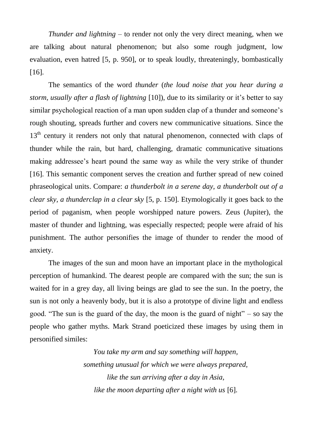*Thunder and lightning –* to render not only the very direct meaning, when we are talking about natural phenomenon; but also some rough judgment, low evaluation, even hatred [5, p. 950], or to speak loudly, threateningly, bombastically [16].

The semantics of the word *thunder* (*the loud noise that you hear during a storm, usually after a flash of lightning* [10]), due to its similarity or it's better to say similar psychological reaction of a man upon sudden clap of a thunder and someone's rough shouting, spreads further and covers new communicative situations. Since the 13<sup>th</sup> century it renders not only that natural phenomenon, connected with claps of thunder while the rain, but hard, challenging, dramatic communicative situations making addressee's heart pound the same way as while the very strike of thunder [16]. This semantic component serves the creation and further spread of new coined phraseological units. Compare: *a thunderbolt in a serene day, a thunderbolt out of a clear sky, a thunderclap in a clear sky* [5, p. 150]. Etymologically it goes back to the period of paganism, when people worshipped nature powers. Zeus (Jupiter), the master of thunder and lightning, was especially respected; people were afraid of his punishment. The author personifies the image of thunder to render the mood of anxiety.

The images of the sun and moon have an important place in the mythological perception of humankind. The dearest people are compared with the sun; the sun is waited for in a grey day, all living beings are glad to see the sun. In the poetry, the sun is not only a heavenly body, but it is also a prototype of divine light and endless good. "The sun is the guard of the day, the moon is the guard of night" – so say the people who gather myths. Mark Strand poeticized these images by using them in personified similes:

> *You take my arm and say something will happen, something unusual for which we were always prepared, like the sun arriving after a day in Asia, like the moon departing after a night with us* [6].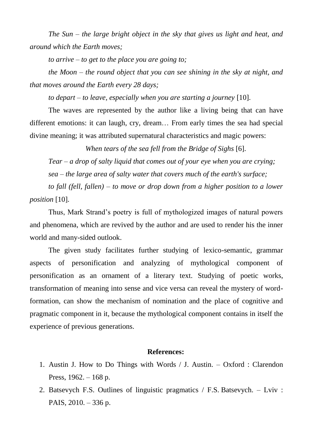*The Sun – the large bright object in the sky that gives us light and heat, and around which the Earth moves;*

*to arrive – to get to the place you are going to;*

*the Moon – the round object that you can see shining in the sky at night, and that moves around the Earth every 28 days;*

*to depart – to leave, especially when you are starting a journey* [10].

The waves are represented by the author like a living being that can have different emotions: it can laugh, cry, dream… From early times the sea had special divine meaning; it was attributed supernatural characteristics and magic powers:

*When tears of the sea fell from the Bridge of Sighs* [6].

*Tear – a drop of salty liquid that comes out of your eye when you are crying; sea – the large area of salty water that covers much of the earth's surface;*

*to fall (fell, fallen) – to move or drop down from a higher position to a lower position* [10].

Thus, Mark Strand's poetry is full of mythologized images of natural powers and phenomena, which are revived by the author and are used to render his the inner world and many-sided outlook.

The given study facilitates further studying of lexico-semantic, grammar aspects of personification and analyzing of mythological component of personification as an ornament of a literary text. Studying of poetic works, transformation of meaning into sense and vice versa can reveal the mystery of wordformation, can show the mechanism of nomination and the place of cognitive and pragmatic component in it, because the mythological component contains in itself the experience of previous generations.

#### **References:**

- 1. Austin J. How to Do Things with Words / J. Austin. Oxford : Clarendon Press, 1962. – 168 p.
- 2. Batsevych F.S. Outlines of linguistic pragmatics / F.S. Batsevych. Lviv : PAIS, 2010. – 336 p.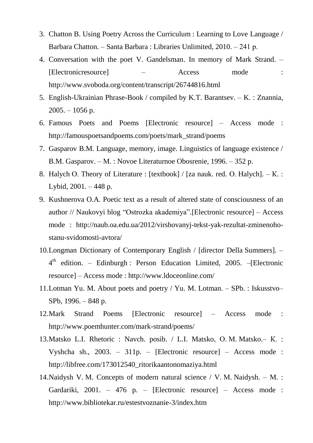- 3. Chatton B. Using Poetry Across the Curriculum : Learning to Love Language / Barbara Chatton. – Santa Barbara : Libraries Unlimited, 2010. – 241 р.
- 4. Conversation with the poet V. Gandelsman. In memory of Mark Strand. [Electronicresource] – Access mode : http://www.svoboda.org/content/transcript/26744816.html
- 5. English-Ukrainian Phrase-Book / compiled by K.T. Barantsev. K. : Znannia,  $2005. - 1056$  p.
- 6. Famous Poets and Poems [Electronic resource] Access mode : http://famouspoetsandpoems.com/poets/mark\_strand/poems
- 7. Gasparov B.M. Language, memory, image. Linguistics of language existence / B.M. Gasparov. – М. : Novoe Literaturnoe Obosrenie, 1996. – 352 p.
- 8. Halych О. Theory of Literature : [textbook] / [za nauk. red. О. Halych]. К. : Lybid, 2001. – 448 p.
- 9. Kushnerova O.A. Poetic text as a result of altered state of consciousness of an author // Naukovyi blog "Ostrozka akademiya".[Electronic resource] – Access mode : http://naub.oa.edu.ua/2012/virshovanyj-tekst-yak-rezultat-zminenohostanu-svidomosti-avtora/
- 10.Longman Dictionary of Contemporary English / [director Della Summers]. 4<sup>th</sup> edition. – Edinburgh : Person Education Limited, 2005. – [Electronic resource] – Access mode : http://www.ldoceonline.com/
- 11.Lotman Yu. M. About poets and poetry / Yu. M. Lotman. SPb. : Iskusstvo– SPb, 1996. – 848 p.
- 12.Mark Strand Poems [Electronic resource] Access mode : <http://www.poemhunter.com/mark-strand/poems/>
- 13.Matsko L.I. Rhetoric : Navch. posib. / L.I. Matsko, О. М. Matsko.– К. : Vyshcha sh., 2003. – 311p. – [Electronic resource] – Access mode : http://libfree.com/173012540\_ritorikaantonomaziya.html
- 14.Naidysh V. М. Concepts of modern natural science / V. М. Naidysh. М. : Gardariki, 2001. – 476 p. – [Electronic resource] – Access mode : <http://www.bibliotekar.ru/estestvoznanie-3/index.htm>